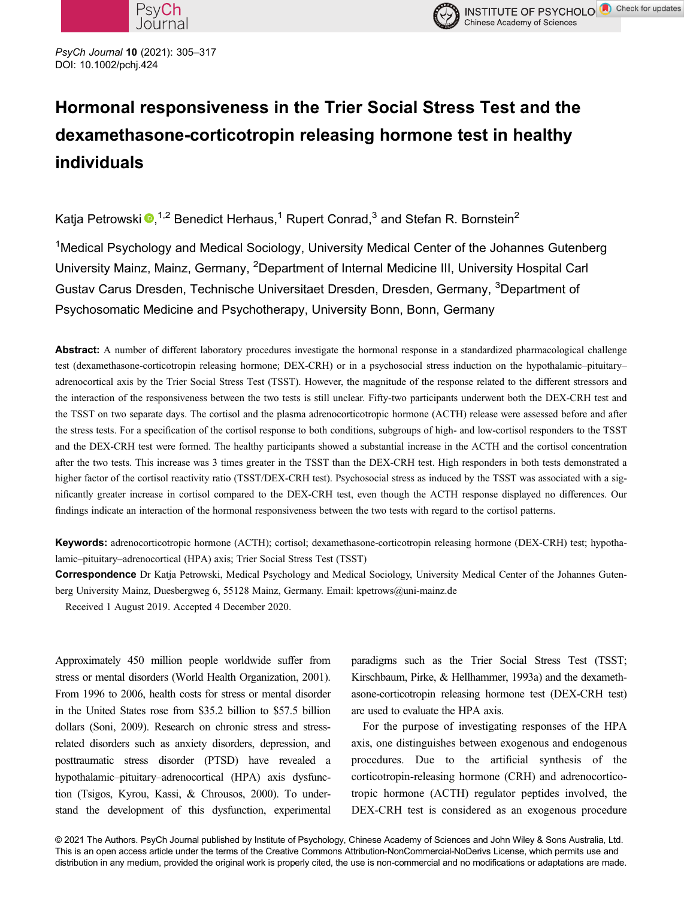



PsyCh Journal <sup>10</sup> (2021): 305–<sup>317</sup> DOI: 10.1002/pchj.424

# Hormonal responsiveness in the Trier Social Stress Test and the dexamethasone-corticotropin releasing hormone test in healthy individuals

Katja Petrowski  $\bullet$ ,<sup>1,2</sup> Benedict Herhaus,<sup>1</sup> Rupert Conrad,<sup>3</sup> and Stefan R. Bornstein<sup>2</sup>

<sup>1</sup>Medical Psychology and Medical Sociology, University Medical Center of the Johannes Gutenberg University Mainz, Mainz, Germany, <sup>2</sup>Department of Internal Medicine III, University Hospital Carl Gustav Carus Dresden, Technische Universitaet Dresden, Dresden, Germany, <sup>3</sup>Department of Psychosomatic Medicine and Psychotherapy, University Bonn, Bonn, Germany

Abstract: A number of different laboratory procedures investigate the hormonal response in a standardized pharmacological challenge test (dexamethasone-corticotropin releasing hormone; DEX-CRH) or in a psychosocial stress induction on the hypothalamic–pituitary– adrenocortical axis by the Trier Social Stress Test (TSST). However, the magnitude of the response related to the different stressors and the interaction of the responsiveness between the two tests is still unclear. Fifty-two participants underwent both the DEX-CRH test and the TSST on two separate days. The cortisol and the plasma adrenocorticotropic hormone (ACTH) release were assessed before and after the stress tests. For a specification of the cortisol response to both conditions, subgroups of high- and low-cortisol responders to the TSST and the DEX-CRH test were formed. The healthy participants showed a substantial increase in the ACTH and the cortisol concentration after the two tests. This increase was 3 times greater in the TSST than the DEX-CRH test. High responders in both tests demonstrated a higher factor of the cortisol reactivity ratio (TSST/DEX-CRH test). Psychosocial stress as induced by the TSST was associated with a significantly greater increase in cortisol compared to the DEX-CRH test, even though the ACTH response displayed no differences. Our findings indicate an interaction of the hormonal responsiveness between the two tests with regard to the cortisol patterns.

Keywords: adrenocorticotropic hormone (ACTH); cortisol; dexamethasone-corticotropin releasing hormone (DEX-CRH) test; hypothalamic–pituitary–adrenocortical (HPA) axis; Trier Social Stress Test (TSST)

Correspondence Dr Katja Petrowski, Medical Psychology and Medical Sociology, University Medical Center of the Johannes Gutenberg University Mainz, Duesbergweg 6, 55128 Mainz, Germany. Email: kpetrows@uni-mainz.de

Received 1 August 2019. Accepted 4 December 2020.

Approximately 450 million people worldwide suffer from stress or mental disorders (World Health Organization, 2001). From 1996 to 2006, health costs for stress or mental disorder in the United States rose from \$35.2 billion to \$57.5 billion dollars (Soni, 2009). Research on chronic stress and stressrelated disorders such as anxiety disorders, depression, and posttraumatic stress disorder (PTSD) have revealed a hypothalamic–pituitary–adrenocortical (HPA) axis dysfunction (Tsigos, Kyrou, Kassi, & Chrousos, 2000). To understand the development of this dysfunction, experimental

paradigms such as the Trier Social Stress Test (TSST; Kirschbaum, Pirke, & Hellhammer, 1993a) and the dexamethasone-corticotropin releasing hormone test (DEX-CRH test) are used to evaluate the HPA axis.

For the purpose of investigating responses of the HPA axis, one distinguishes between exogenous and endogenous procedures. Due to the artificial synthesis of the corticotropin-releasing hormone (CRH) and adrenocorticotropic hormone (ACTH) regulator peptides involved, the DEX-CRH test is considered as an exogenous procedure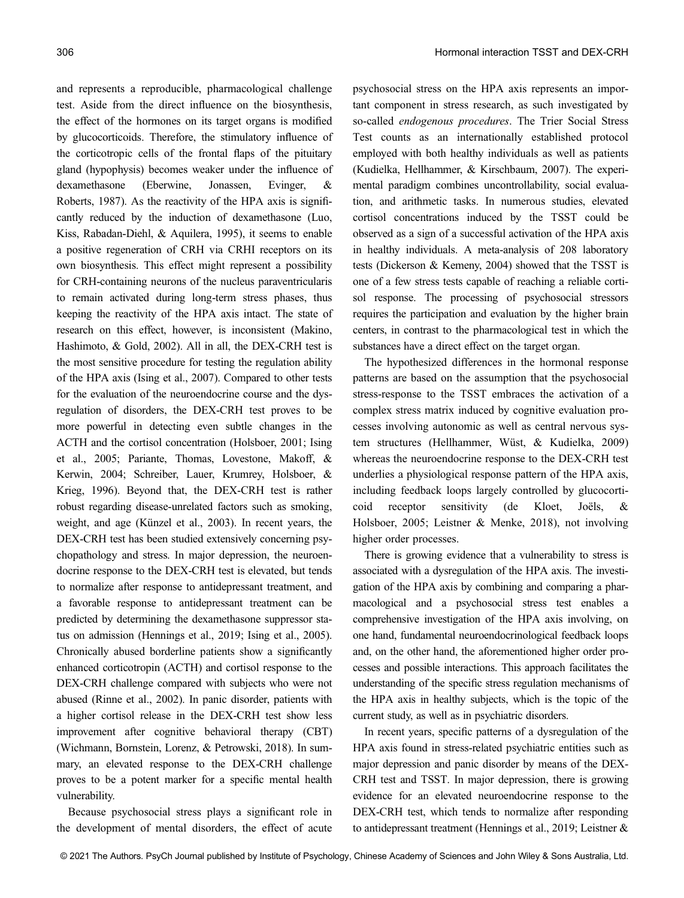and represents a reproducible, pharmacological challenge test. Aside from the direct influence on the biosynthesis, the effect of the hormones on its target organs is modified by glucocorticoids. Therefore, the stimulatory influence of the corticotropic cells of the frontal flaps of the pituitary gland (hypophysis) becomes weaker under the influence of dexamethasone (Eberwine, Jonassen, Evinger, & Roberts, 1987). As the reactivity of the HPA axis is significantly reduced by the induction of dexamethasone (Luo, Kiss, Rabadan-Diehl, & Aquilera, 1995), it seems to enable a positive regeneration of CRH via CRHI receptors on its own biosynthesis. This effect might represent a possibility for CRH-containing neurons of the nucleus paraventricularis to remain activated during long-term stress phases, thus keeping the reactivity of the HPA axis intact. The state of research on this effect, however, is inconsistent (Makino, Hashimoto, & Gold, 2002). All in all, the DEX-CRH test is the most sensitive procedure for testing the regulation ability of the HPA axis (Ising et al., 2007). Compared to other tests for the evaluation of the neuroendocrine course and the dysregulation of disorders, the DEX-CRH test proves to be more powerful in detecting even subtle changes in the ACTH and the cortisol concentration (Holsboer, 2001; Ising et al., 2005; Pariante, Thomas, Lovestone, Makoff, & Kerwin, 2004; Schreiber, Lauer, Krumrey, Holsboer, & Krieg, 1996). Beyond that, the DEX-CRH test is rather robust regarding disease-unrelated factors such as smoking, weight, and age (Künzel et al., 2003). In recent years, the DEX-CRH test has been studied extensively concerning psychopathology and stress. In major depression, the neuroendocrine response to the DEX-CRH test is elevated, but tends to normalize after response to antidepressant treatment, and a favorable response to antidepressant treatment can be predicted by determining the dexamethasone suppressor status on admission (Hennings et al., 2019; Ising et al., 2005). Chronically abused borderline patients show a significantly enhanced corticotropin (ACTH) and cortisol response to the DEX-CRH challenge compared with subjects who were not abused (Rinne et al., 2002). In panic disorder, patients with a higher cortisol release in the DEX-CRH test show less improvement after cognitive behavioral therapy (CBT) (Wichmann, Bornstein, Lorenz, & Petrowski, 2018). In summary, an elevated response to the DEX-CRH challenge proves to be a potent marker for a specific mental health vulnerability.

Because psychosocial stress plays a significant role in the development of mental disorders, the effect of acute psychosocial stress on the HPA axis represents an important component in stress research, as such investigated by so-called *endogenous procedures*. The Trier Social Stress Test counts as an internationally established protocol employed with both healthy individuals as well as patients (Kudielka, Hellhammer, & Kirschbaum, 2007). The experimental paradigm combines uncontrollability, social evaluation, and arithmetic tasks. In numerous studies, elevated cortisol concentrations induced by the TSST could be observed as a sign of a successful activation of the HPA axis in healthy individuals. A meta-analysis of 208 laboratory tests (Dickerson & Kemeny, 2004) showed that the TSST is one of a few stress tests capable of reaching a reliable cortisol response. The processing of psychosocial stressors requires the participation and evaluation by the higher brain centers, in contrast to the pharmacological test in which the substances have a direct effect on the target organ.

The hypothesized differences in the hormonal response patterns are based on the assumption that the psychosocial stress-response to the TSST embraces the activation of a complex stress matrix induced by cognitive evaluation processes involving autonomic as well as central nervous system structures (Hellhammer, Wüst, & Kudielka, 2009) whereas the neuroendocrine response to the DEX-CRH test underlies a physiological response pattern of the HPA axis, including feedback loops largely controlled by glucocorticoid receptor sensitivity (de Kloet, Joëls, & Holsboer, 2005; Leistner & Menke, 2018), not involving higher order processes.

There is growing evidence that a vulnerability to stress is associated with a dysregulation of the HPA axis. The investigation of the HPA axis by combining and comparing a pharmacological and a psychosocial stress test enables a comprehensive investigation of the HPA axis involving, on one hand, fundamental neuroendocrinological feedback loops and, on the other hand, the aforementioned higher order processes and possible interactions. This approach facilitates the understanding of the specific stress regulation mechanisms of the HPA axis in healthy subjects, which is the topic of the current study, as well as in psychiatric disorders.

In recent years, specific patterns of a dysregulation of the HPA axis found in stress-related psychiatric entities such as major depression and panic disorder by means of the DEX-CRH test and TSST. In major depression, there is growing evidence for an elevated neuroendocrine response to the DEX-CRH test, which tends to normalize after responding to antidepressant treatment (Hennings et al., 2019; Leistner &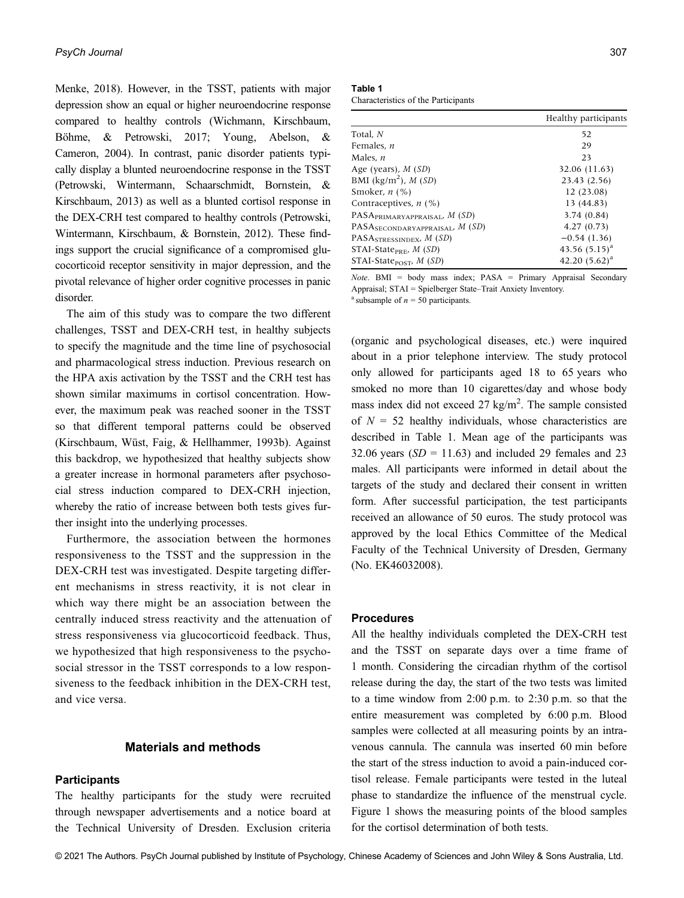Menke, 2018). However, in the TSST, patients with major depression show an equal or higher neuroendocrine response compared to healthy controls (Wichmann, Kirschbaum, Böhme, & Petrowski, 2017; Young, Abelson, & Cameron, 2004). In contrast, panic disorder patients typically display a blunted neuroendocrine response in the TSST (Petrowski, Wintermann, Schaarschmidt, Bornstein, & Kirschbaum, 2013) as well as a blunted cortisol response in the DEX-CRH test compared to healthy controls (Petrowski, Wintermann, Kirschbaum, & Bornstein, 2012). These findings support the crucial significance of a compromised glucocorticoid receptor sensitivity in major depression, and the pivotal relevance of higher order cognitive processes in panic disorder.

The aim of this study was to compare the two different challenges, TSST and DEX-CRH test, in healthy subjects to specify the magnitude and the time line of psychosocial and pharmacological stress induction. Previous research on the HPA axis activation by the TSST and the CRH test has shown similar maximums in cortisol concentration. However, the maximum peak was reached sooner in the TSST so that different temporal patterns could be observed (Kirschbaum, Wüst, Faig, & Hellhammer, 1993b). Against this backdrop, we hypothesized that healthy subjects show a greater increase in hormonal parameters after psychosocial stress induction compared to DEX-CRH injection, whereby the ratio of increase between both tests gives further insight into the underlying processes.

Furthermore, the association between the hormones responsiveness to the TSST and the suppression in the DEX-CRH test was investigated. Despite targeting different mechanisms in stress reactivity, it is not clear in which way there might be an association between the centrally induced stress reactivity and the attenuation of stress responsiveness via glucocorticoid feedback. Thus, we hypothesized that high responsiveness to the psychosocial stressor in the TSST corresponds to a low responsiveness to the feedback inhibition in the DEX-CRH test, and vice versa.

# Materials and methods

# **Participants**

The healthy participants for the study were recruited through newspaper advertisements and a notice board at the Technical University of Dresden. Exclusion criteria

Table 1 Characteristics of the Participants

|                                             | Healthy participants |
|---------------------------------------------|----------------------|
| Total, N                                    | 52                   |
| Females. <i>n</i>                           | 29                   |
| Males, $n$                                  | 23                   |
| Age (years), $M(SD)$                        | 32.06 (11.63)        |
| BMI (kg/m <sup>2</sup> ), $M(SD)$           | 23.43 (2.56)         |
| Smoker, $n$ (%)                             | 12(23.08)            |
| Contraceptives, $n$ (%)                     | 13 (44.83)           |
| PASA <sub>PRIMARYAPPRAISAL</sub> , M (SD)   | 3.74(0.84)           |
| PASA <sub>SECONDARYAPPRAISAL</sub> , M (SD) | 4.27(0.73)           |
| PASA <sub>STRESSINDEX</sub> , $M(SD)$       | $-0.54(1.36)$        |
| STAI-State <sub>PRE</sub> , $M(SD)$         | 43.56 $(5.15)^a$     |
| STAI-State <sub>POST</sub> , $M(SD)$        | 42.20 $(5.62)^a$     |

Note. BMI = body mass index; PASA = Primary Appraisal Secondary Appraisal; STAI = Spielberger State–Trait Anxiety Inventory.

<sup>a</sup> subsample of  $n = 50$  participants.

(organic and psychological diseases, etc.) were inquired about in a prior telephone interview. The study protocol only allowed for participants aged 18 to 65 years who smoked no more than 10 cigarettes/day and whose body mass index did not exceed 27 kg/m<sup>2</sup>. The sample consisted of  $N = 52$  healthy individuals, whose characteristics are described in Table 1. Mean age of the participants was 32.06 years  $(SD = 11.63)$  and included 29 females and 23 males. All participants were informed in detail about the targets of the study and declared their consent in written form. After successful participation, the test participants received an allowance of 50 euros. The study protocol was approved by the local Ethics Committee of the Medical Faculty of the Technical University of Dresden, Germany (No. EK46032008).

## Procedures

All the healthy individuals completed the DEX-CRH test and the TSST on separate days over a time frame of 1 month. Considering the circadian rhythm of the cortisol release during the day, the start of the two tests was limited to a time window from 2:00 p.m. to 2:30 p.m. so that the entire measurement was completed by 6:00 p.m. Blood samples were collected at all measuring points by an intravenous cannula. The cannula was inserted 60 min before the start of the stress induction to avoid a pain-induced cortisol release. Female participants were tested in the luteal phase to standardize the influence of the menstrual cycle. Figure 1 shows the measuring points of the blood samples for the cortisol determination of both tests.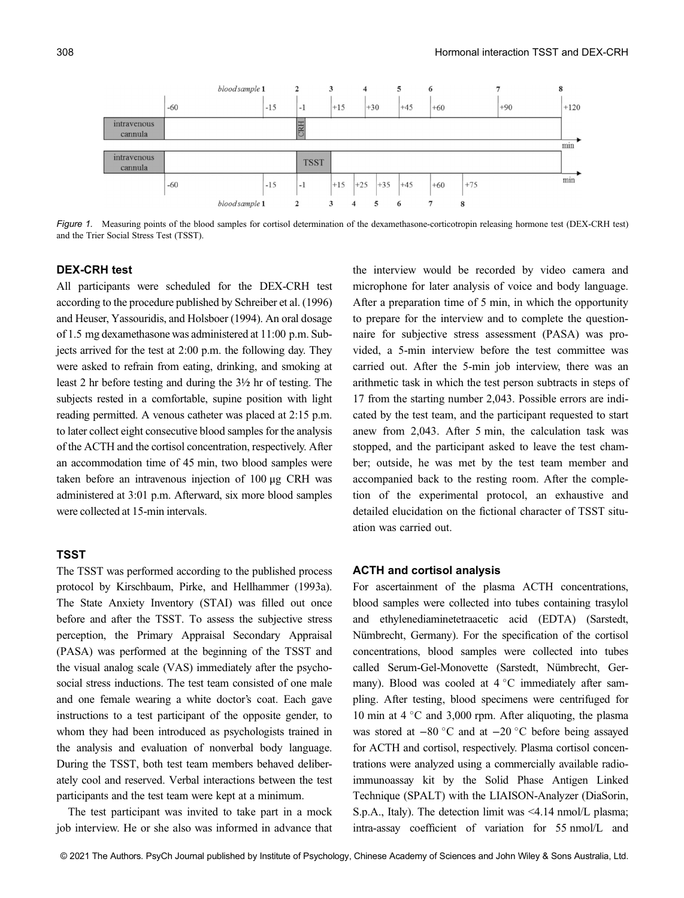

Figure 1. Measuring points of the blood samples for cortisol determination of the dexamethasone-corticotropin releasing hormone test (DEX-CRH test) and the Trier Social Stress Test (TSST).

# DEX-CRH test

All participants were scheduled for the DEX-CRH test according to the procedure published by Schreiber et al. (1996) and Heuser, Yassouridis, and Holsboer (1994). An oral dosage of 1.5 mg dexamethasone was administered at 11:00 p.m. Subjects arrived for the test at 2:00 p.m. the following day. They were asked to refrain from eating, drinking, and smoking at least 2 hr before testing and during the 3½ hr of testing. The subjects rested in a comfortable, supine position with light reading permitted. A venous catheter was placed at 2:15 p.m. to later collect eight consecutive blood samples for the analysis of the ACTH and the cortisol concentration, respectively. After an accommodation time of 45 min, two blood samples were taken before an intravenous injection of 100 μg CRH was administered at 3:01 p.m. Afterward, six more blood samples were collected at 15-min intervals.

# **TSST**

The TSST was performed according to the published process protocol by Kirschbaum, Pirke, and Hellhammer (1993a). The State Anxiety Inventory (STAI) was filled out once before and after the TSST. To assess the subjective stress perception, the Primary Appraisal Secondary Appraisal (PASA) was performed at the beginning of the TSST and the visual analog scale (VAS) immediately after the psychosocial stress inductions. The test team consisted of one male and one female wearing a white doctor's coat. Each gave instructions to a test participant of the opposite gender, to whom they had been introduced as psychologists trained in the analysis and evaluation of nonverbal body language. During the TSST, both test team members behaved deliberately cool and reserved. Verbal interactions between the test participants and the test team were kept at a minimum.

The test participant was invited to take part in a mock job interview. He or she also was informed in advance that the interview would be recorded by video camera and microphone for later analysis of voice and body language. After a preparation time of 5 min, in which the opportunity to prepare for the interview and to complete the questionnaire for subjective stress assessment (PASA) was provided, a 5-min interview before the test committee was carried out. After the 5-min job interview, there was an arithmetic task in which the test person subtracts in steps of 17 from the starting number 2,043. Possible errors are indicated by the test team, and the participant requested to start anew from 2,043. After 5 min, the calculation task was stopped, and the participant asked to leave the test chamber; outside, he was met by the test team member and accompanied back to the resting room. After the completion of the experimental protocol, an exhaustive and detailed elucidation on the fictional character of TSST situation was carried out.

## ACTH and cortisol analysis

For ascertainment of the plasma ACTH concentrations, blood samples were collected into tubes containing trasylol and ethylenediaminetetraacetic acid (EDTA) (Sarstedt, Nümbrecht, Germany). For the specification of the cortisol concentrations, blood samples were collected into tubes called Serum-Gel-Monovette (Sarstedt, Nümbrecht, Germany). Blood was cooled at  $4^{\circ}$ C immediately after sampling. After testing, blood specimens were centrifuged for 10 min at 4  $\degree$ C and 3,000 rpm. After aliquoting, the plasma was stored at  $-80$  °C and at  $-20$  °C before being assayed for ACTH and cortisol, respectively. Plasma cortisol concentrations were analyzed using a commercially available radioimmunoassay kit by the Solid Phase Antigen Linked Technique (SPALT) with the LIAISON-Analyzer (DiaSorin, S.p.A., Italy). The detection limit was <4.14 nmol/L plasma; intra-assay coefficient of variation for 55 nmol/L and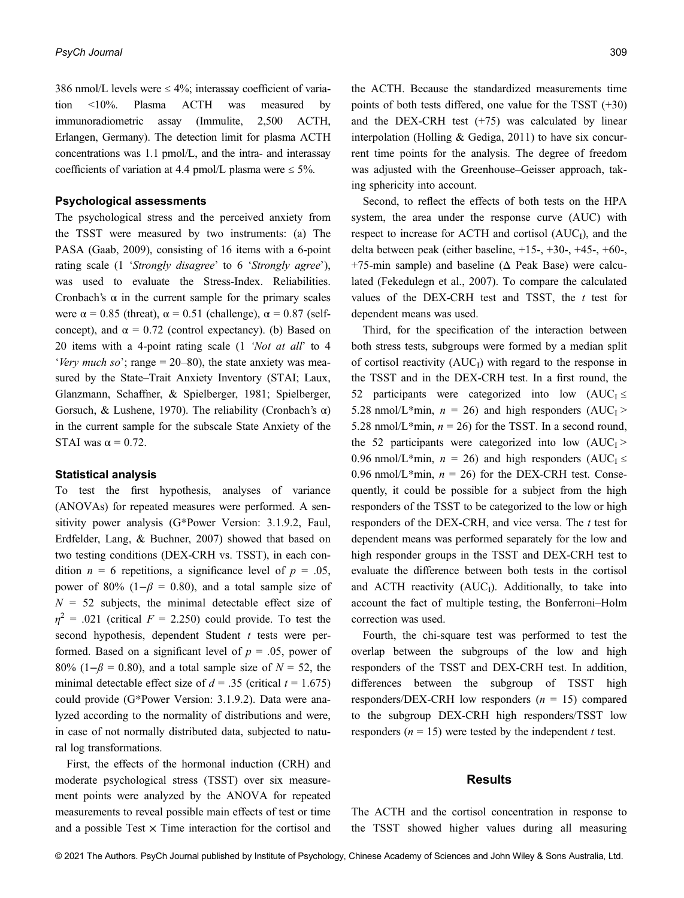386 nmol/L levels were  $\leq 4\%$ ; interassay coefficient of variation <10%. Plasma ACTH was measured by immunoradiometric assay (Immulite, 2,500 ACTH, Erlangen, Germany). The detection limit for plasma ACTH concentrations was 1.1 pmol/L, and the intra- and interassay coefficients of variation at 4.4 pmol/L plasma were  $\leq 5\%$ .

# Psychological assessments

The psychological stress and the perceived anxiety from the TSST were measured by two instruments: (a) The PASA (Gaab, 2009), consisting of 16 items with a 6-point rating scale (1 'Strongly disagree' to 6 'Strongly agree'), was used to evaluate the Stress-Index. Reliabilities. Cronbach's  $\alpha$  in the current sample for the primary scales were  $\alpha$  = 0.85 (threat),  $\alpha$  = 0.51 (challenge),  $\alpha$  = 0.87 (selfconcept), and  $\alpha = 0.72$  (control expectancy). (b) Based on 20 items with a 4-point rating scale (1 'Not at all' to 4 'Very much so'; range  $= 20-80$ ), the state anxiety was measured by the State–Trait Anxiety Inventory (STAI; Laux, Glanzmann, Schaffner, & Spielberger, 1981; Spielberger, Gorsuch, & Lushene, 1970). The reliability (Cronbach's  $\alpha$ ) in the current sample for the subscale State Anxiety of the STAI was  $\alpha = 0.72$ .

## Statistical analysis

To test the first hypothesis, analyses of variance (ANOVAs) for repeated measures were performed. A sensitivity power analysis (G\*Power Version: 3.1.9.2, Faul, Erdfelder, Lang, & Buchner, 2007) showed that based on two testing conditions (DEX-CRH vs. TSST), in each condition  $n = 6$  repetitions, a significance level of  $p = .05$ , power of 80% (1− $\beta$  = 0.80), and a total sample size of  $N = 52$  subjects, the minimal detectable effect size of  $\eta^2$  = .021 (critical F = 2.250) could provide. To test the second hypothesis, dependent Student  $t$  tests were performed. Based on a significant level of  $p = .05$ , power of 80% (1− $\beta$  = 0.80), and a total sample size of  $N = 52$ , the minimal detectable effect size of  $d = .35$  (critical  $t = 1.675$ ) could provide (G\*Power Version: 3.1.9.2). Data were analyzed according to the normality of distributions and were, in case of not normally distributed data, subjected to natural log transformations.

First, the effects of the hormonal induction (CRH) and moderate psychological stress (TSST) over six measurement points were analyzed by the ANOVA for repeated measurements to reveal possible main effects of test or time and a possible Test  $\times$  Time interaction for the cortisol and

the ACTH. Because the standardized measurements time points of both tests differed, one value for the TSST (+30) and the DEX-CRH test  $(+75)$  was calculated by linear interpolation (Holling  $& Gediga, 2011$ ) to have six concurrent time points for the analysis. The degree of freedom was adjusted with the Greenhouse–Geisser approach, taking sphericity into account.

Second, to reflect the effects of both tests on the HPA system, the area under the response curve (AUC) with respect to increase for ACTH and cortisol  $(AUC<sub>1</sub>)$ , and the delta between peak (either baseline, +15-, +30-, +45-, +60-, +75-min sample) and baseline ( $\Delta$  Peak Base) were calculated (Fekedulegn et al., 2007). To compare the calculated values of the DEX-CRH test and TSST, the  $t$  test for dependent means was used.

Third, for the specification of the interaction between both stress tests, subgroups were formed by a median split of cortisol reactivity  $(AUC<sub>I</sub>)$  with regard to the response in the TSST and in the DEX-CRH test. In a first round, the 52 participants were categorized into low  $(AUC<sub>I</sub> \leq$ 5.28 nmol/L\*min,  $n = 26$ ) and high responders (AUC<sub>I</sub> > 5.28 nmol/L\*min,  $n = 26$ ) for the TSST. In a second round, the 52 participants were categorized into low  $(AUC<sub>I</sub>)$ 0.96 nmol/L\*min,  $n = 26$ ) and high responders (AUC<sub>I</sub>  $\leq$ 0.96 nmol/L\*min,  $n = 26$ ) for the DEX-CRH test. Consequently, it could be possible for a subject from the high responders of the TSST to be categorized to the low or high responders of the DEX-CRH, and vice versa. The t test for dependent means was performed separately for the low and high responder groups in the TSST and DEX-CRH test to evaluate the difference between both tests in the cortisol and ACTH reactivity ( $AUC<sub>I</sub>$ ). Additionally, to take into account the fact of multiple testing, the Bonferroni–Holm correction was used.

Fourth, the chi-square test was performed to test the overlap between the subgroups of the low and high responders of the TSST and DEX-CRH test. In addition, differences between the subgroup of TSST high responders/DEX-CRH low responders  $(n = 15)$  compared to the subgroup DEX-CRH high responders/TSST low responders ( $n = 15$ ) were tested by the independent t test.

### **Results**

The ACTH and the cortisol concentration in response to the TSST showed higher values during all measuring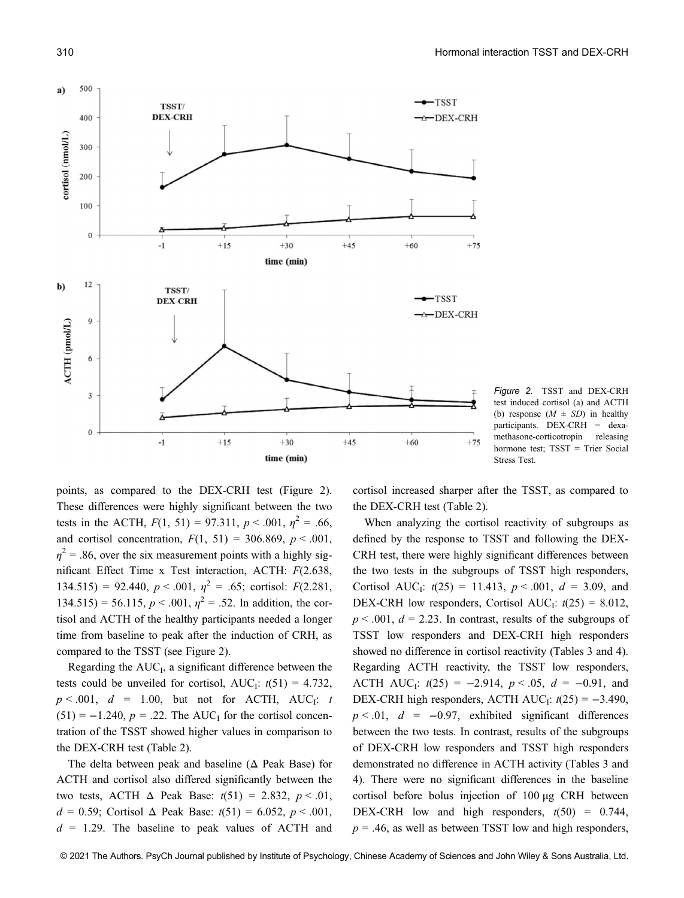

Figure 2. TSST and DEX-CRH test induced cortisol (a) and ACTH (b) response  $(M \pm SD)$  in healthy participants. DEX-CRH = dexamethasone-corticotropin releasing hormone test; TSST = Trier Social Stress Test.

points, as compared to the DEX-CRH test (Figure 2). These differences were highly significant between the two tests in the ACTH,  $F(1, 51) = 97.311$ ,  $p < .001$ ,  $\eta^2 = .66$ , and cortisol concentration,  $F(1, 51) = 306.869$ ,  $p < .001$ ,  $\eta^2$  = .86, over the six measurement points with a highly significant Effect Time x Test interaction, ACTH: F(2.638, 134.515) = 92.440,  $p < .001$ ,  $\eta^2 = .65$ ; cortisol:  $F(2.281)$ ,  $134.515$ ) = 56.115,  $p < .001$ ,  $\eta^2$  = .52. In addition, the cortisol and ACTH of the healthy participants needed a longer time from baseline to peak after the induction of CRH, as compared to the TSST (see Figure 2).

Regarding the  $AUC<sub>I</sub>$ , a significant difference between the tests could be unveiled for cortisol,  $AUC_i$ :  $t(51) = 4.732$ ,  $p < .001$ ,  $d = 1.00$ , but not for ACTH, AUC<sub>I</sub>: t  $(51) = -1.240$ ,  $p = .22$ . The AUC<sub>I</sub> for the cortisol concentration of the TSST showed higher values in comparison to the DEX-CRH test (Table 2).

The delta between peak and baseline  $( \Delta$  Peak Base) for ACTH and cortisol also differed significantly between the two tests, ACTH  $\Delta$  Peak Base:  $t(51) = 2.832$ ,  $p < .01$ ,  $d = 0.59$ ; Cortisol  $\Delta$  Peak Base:  $t(51) = 6.052$ ,  $p < .001$ ,  $d = 1.29$ . The baseline to peak values of ACTH and

cortisol increased sharper after the TSST, as compared to the DEX-CRH test (Table 2).

When analyzing the cortisol reactivity of subgroups as defined by the response to TSST and following the DEX-CRH test, there were highly significant differences between the two tests in the subgroups of TSST high responders, Cortisol AUC<sub>I</sub>:  $t(25) = 11.413$ ,  $p < .001$ ,  $d = 3.09$ , and DEX-CRH low responders, Cortisol AUC<sub>I</sub>:  $t(25) = 8.012$ ,  $p < .001$ ,  $d = 2.23$ . In contrast, results of the subgroups of TSST low responders and DEX-CRH high responders showed no difference in cortisol reactivity (Tables 3 and 4). Regarding ACTH reactivity, the TSST low responders, ACTH AUC<sub>I</sub>:  $t(25) = -2.914$ ,  $p < .05$ ,  $d = -0.91$ , and DEX-CRH high responders, ACTH AUC<sub>I</sub>:  $t(25) = -3.490$ ,  $p < .01$ ,  $d = -0.97$ , exhibited significant differences between the two tests. In contrast, results of the subgroups of DEX-CRH low responders and TSST high responders demonstrated no difference in ACTH activity (Tables 3 and 4). There were no significant differences in the baseline cortisol before bolus injection of 100 μg CRH between DEX-CRH low and high responders,  $t(50) = 0.744$ ,  $p = .46$ , as well as between TSST low and high responders,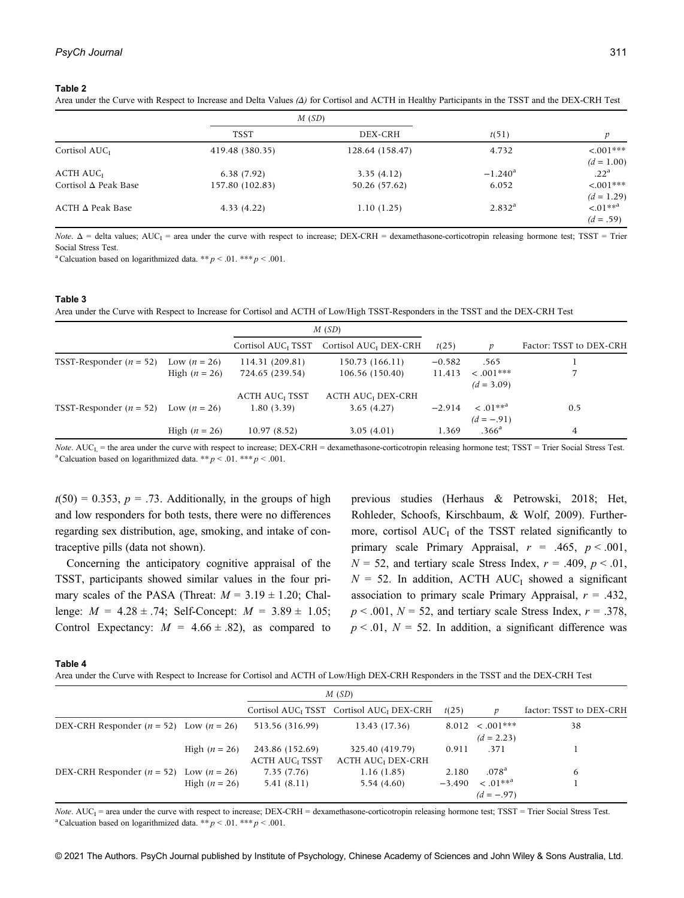#### Table 2

Area under the Curve with Respect to Increase and Delta Values (Δ) for Cortisol and ACTH in Healthy Participants in the TSST and the DEX-CRH Test

|                             |                 | M(SD)           |                    |                             |
|-----------------------------|-----------------|-----------------|--------------------|-----------------------------|
|                             | <b>TSST</b>     | DEX-CRH         | t(51)              |                             |
| Cortisol $AUC$ <sub>I</sub> | 419.48 (380.35) | 128.64 (158.47) | 4.732              | $< .001***$<br>$(d = 1.00)$ |
| ACTH AUC <sub>I</sub>       | 6.38(7.92)      | 3.35(4.12)      | $-1.240^{\rm a}$   | .22 <sup>a</sup>            |
| Cortisol $\Delta$ Peak Base | 157.80 (102.83) | 50.26 (57.62)   | 6.052              | $< .001***$<br>$(d = 1.29)$ |
| $ACTH \Delta$ Peak Base     | 4.33(4.22)      | 1.10(1.25)      | 2.832 <sup>a</sup> | $\leq 01**a$<br>$(d = .59)$ |

Note.  $\Delta$  = delta values; AUC<sub>I</sub> = area under the curve with respect to increase; DEX-CRH = dexamethasone-corticotropin releasing hormone test; TSST = Trier Social Stress Test.

<sup>a</sup> Calcuation based on logarithmized data. \*\*  $p < .01$ . \*\*\*  $p < .001$ .

## Table 3

Area under the Curve with Respect to Increase for Cortisol and ACTH of Low/High TSST-Responders in the TSST and the DEX-CRH Test

|                             |                 | M(SD)                            |                                     |          |                                           |                         |
|-----------------------------|-----------------|----------------------------------|-------------------------------------|----------|-------------------------------------------|-------------------------|
|                             |                 | Cortisol AUC <sub>I</sub> TSST   | Cortisol AUC <sub>I</sub> DEX-CRH   | t(25)    |                                           | Factor: TSST to DEX-CRH |
| TSST-Responder ( $n = 52$ ) | Low $(n = 26)$  | 114.31 (209.81)                  | 150.73 (166.11)                     | $-0.582$ | .565                                      |                         |
|                             | High $(n = 26)$ | 724.65 (239.54)                  | 106.56 (150.40)                     | 11.413   | $\leq .001$ ***<br>$(d = 3.09)$           |                         |
|                             |                 | <b>ACTH AUC<sub>I</sub> TSST</b> | <b>ACTH AUC<sub>I</sub></b> DEX-CRH |          |                                           |                         |
| TSST-Responder $(n = 52)$   | Low $(n = 26)$  | 1.80(3.39)                       | 3.65(4.27)                          | $-2.914$ | $\leq 01$ ** <sup>a</sup><br>$(d = -.91)$ | 0.5                     |
|                             | High $(n = 26)$ | 10.97(8.52)                      | 3.05(4.01)                          | 1.369    | .366 <sup>a</sup>                         | 4                       |

Note.  $AUC_L$  = the area under the curve with respect to increase;  $DEX-CRH =$  dexamethasone-corticotropin releasing hormone test;  $TSST =$  Trier Social Stress Test. <sup>a</sup> Calcuation based on logarithmized data. \*\*  $p < .01$ . \*\*\*  $p < .001$ .

 $t(50) = 0.353$ ,  $p = .73$ . Additionally, in the groups of high and low responders for both tests, there were no differences regarding sex distribution, age, smoking, and intake of contraceptive pills (data not shown).

Concerning the anticipatory cognitive appraisal of the TSST, participants showed similar values in the four primary scales of the PASA (Threat:  $M = 3.19 \pm 1.20$ ; Challenge:  $M = 4.28 \pm .74$ ; Self-Concept:  $M = 3.89 \pm 1.05$ ; Control Expectancy:  $M = 4.66 \pm .82$ , as compared to

previous studies (Herhaus & Petrowski, 2018; Het, Rohleder, Schoofs, Kirschbaum, & Wolf, 2009). Furthermore, cortisol  $AUC<sub>I</sub>$  of the TSST related significantly to primary scale Primary Appraisal,  $r = .465$ ,  $p < .001$ ,  $N = 52$ , and tertiary scale Stress Index,  $r = .409$ ,  $p < .01$ ,  $N = 52$ . In addition, ACTH AUC<sub>I</sub> showed a significant association to primary scale Primary Appraisal,  $r = .432$ ,  $p < .001$ ,  $N = 52$ , and tertiary scale Stress Index,  $r = .378$ ,  $p < .01$ ,  $N = 52$ . In addition, a significant difference was

#### Table 4

Area under the Curve with Respect to Increase for Cortisol and ACTH of Low/High DEX-CRH Responders in the TSST and the DEX-CRH Test

|                                             |                 | M(SD)                                               |                                                                  |          |                                       |                         |
|---------------------------------------------|-----------------|-----------------------------------------------------|------------------------------------------------------------------|----------|---------------------------------------|-------------------------|
|                                             |                 |                                                     | Cortisol AUC <sub>I</sub> TSST Cortisol AUC <sub>I</sub> DEX-CRH | t(25)    |                                       | factor: TSST to DEX-CRH |
| DEX-CRH Responder $(n = 52)$ Low $(n = 26)$ |                 | 513.56 (316.99)                                     | 13.43 (17.36)                                                    |          | $8.012 \le .001***$<br>$(d = 2.23)$   | 38                      |
|                                             | High $(n = 26)$ | 243.86 (152.69)<br><b>ACTH AUC<sub>I</sub> TSST</b> | 325.40 (419.79)<br><b>ACTH AUC<sub>I</sub></b> DEX-CRH           | 0.911    | .371                                  |                         |
| DEX-CRH Responder ( $n = 52$ )              | Low $(n = 26)$  | 7.35 (7.76)                                         | 1.16(1.85)                                                       | 2.180    | .078 <sup>a</sup>                     | 6                       |
|                                             | High $(n = 26)$ | 5.41 (8.11)                                         | 5.54 (4.60)                                                      | $-3.490$ | $\leq .01***^{\rm a}$<br>$(d = -.97)$ |                         |

Note.  $AUC_1$  = area under the curve with respect to increase; DEX-CRH = dexamethasone-corticotropin releasing hormone test; TSST = Trier Social Stress Test. <sup>a</sup> Calcuation based on logarithmized data. \*\*  $p < .01$ . \*\*\*  $p < .001$ .

© 2021 The Authors. PsyCh Journal published by Institute of Psychology, Chinese Academy of Sciences and John Wiley & Sons Australia, Ltd.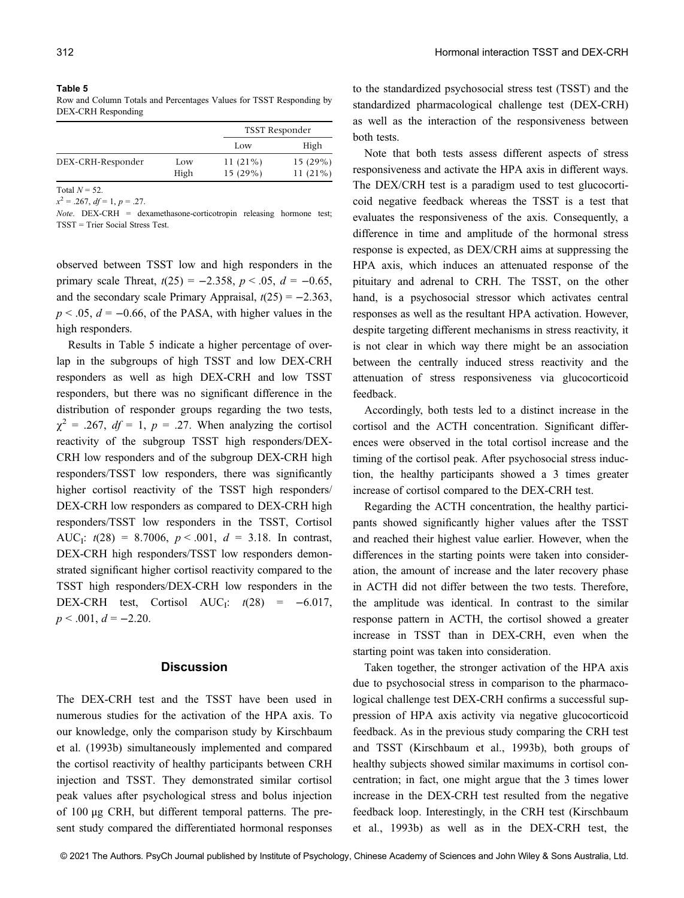#### Table 5

Row and Column Totals and Percentages Values for TSST Responding by DEX-CRH Responding

|      |            | TSST Responder |  |  |
|------|------------|----------------|--|--|
|      | Low        | High           |  |  |
| Low  | $11(21\%)$ | 15(29%)        |  |  |
| High | $15(29\%)$ | $11(21\%)$     |  |  |
|      |            |                |  |  |

Total  $N = 52$ .

 $x^2 = .267$ ,  $df = 1$ ,  $p = .27$ .

 $Note.$  DEX-CRH = dexamethasone-corticotropin releasing hormone test; TSST = Trier Social Stress Test.

observed between TSST low and high responders in the primary scale Threat,  $t(25) = -2.358$ ,  $p < .05$ ,  $d = -0.65$ , and the secondary scale Primary Appraisal,  $t(25) = -2.363$ ,  $p < .05$ ,  $d = -0.66$ , of the PASA, with higher values in the high responders.

Results in Table 5 indicate a higher percentage of overlap in the subgroups of high TSST and low DEX-CRH responders as well as high DEX-CRH and low TSST responders, but there was no significant difference in the distribution of responder groups regarding the two tests,  $\chi^2$  = .267, df = 1, p = .27. When analyzing the cortisol reactivity of the subgroup TSST high responders/DEX-CRH low responders and of the subgroup DEX-CRH high responders/TSST low responders, there was significantly higher cortisol reactivity of the TSST high responders/ DEX-CRH low responders as compared to DEX-CRH high responders/TSST low responders in the TSST, Cortisol AUC<sub>I</sub>:  $t(28) = 8.7006$ ,  $p < .001$ ,  $d = 3.18$ . In contrast, DEX-CRH high responders/TSST low responders demonstrated significant higher cortisol reactivity compared to the TSST high responders/DEX-CRH low responders in the DEX-CRH test, Cortisol AUC<sub>I</sub>:  $t(28) = -6.017$ ,  $p < .001, d = -2.20.$ 

# **Discussion**

The DEX-CRH test and the TSST have been used in numerous studies for the activation of the HPA axis. To our knowledge, only the comparison study by Kirschbaum et al. (1993b) simultaneously implemented and compared the cortisol reactivity of healthy participants between CRH injection and TSST. They demonstrated similar cortisol peak values after psychological stress and bolus injection of 100 μg CRH, but different temporal patterns. The present study compared the differentiated hormonal responses

to the standardized psychosocial stress test (TSST) and the standardized pharmacological challenge test (DEX-CRH) as well as the interaction of the responsiveness between both tests.

Note that both tests assess different aspects of stress responsiveness and activate the HPA axis in different ways. The DEX/CRH test is a paradigm used to test glucocorticoid negative feedback whereas the TSST is a test that evaluates the responsiveness of the axis. Consequently, a difference in time and amplitude of the hormonal stress response is expected, as DEX/CRH aims at suppressing the HPA axis, which induces an attenuated response of the pituitary and adrenal to CRH. The TSST, on the other hand, is a psychosocial stressor which activates central responses as well as the resultant HPA activation. However, despite targeting different mechanisms in stress reactivity, it is not clear in which way there might be an association between the centrally induced stress reactivity and the attenuation of stress responsiveness via glucocorticoid feedback.

Accordingly, both tests led to a distinct increase in the cortisol and the ACTH concentration. Significant differences were observed in the total cortisol increase and the timing of the cortisol peak. After psychosocial stress induction, the healthy participants showed a 3 times greater increase of cortisol compared to the DEX-CRH test.

Regarding the ACTH concentration, the healthy participants showed significantly higher values after the TSST and reached their highest value earlier. However, when the differences in the starting points were taken into consideration, the amount of increase and the later recovery phase in ACTH did not differ between the two tests. Therefore, the amplitude was identical. In contrast to the similar response pattern in ACTH, the cortisol showed a greater increase in TSST than in DEX-CRH, even when the starting point was taken into consideration.

Taken together, the stronger activation of the HPA axis due to psychosocial stress in comparison to the pharmacological challenge test DEX-CRH confirms a successful suppression of HPA axis activity via negative glucocorticoid feedback. As in the previous study comparing the CRH test and TSST (Kirschbaum et al., 1993b), both groups of healthy subjects showed similar maximums in cortisol concentration; in fact, one might argue that the 3 times lower increase in the DEX-CRH test resulted from the negative feedback loop. Interestingly, in the CRH test (Kirschbaum et al., 1993b) as well as in the DEX-CRH test, the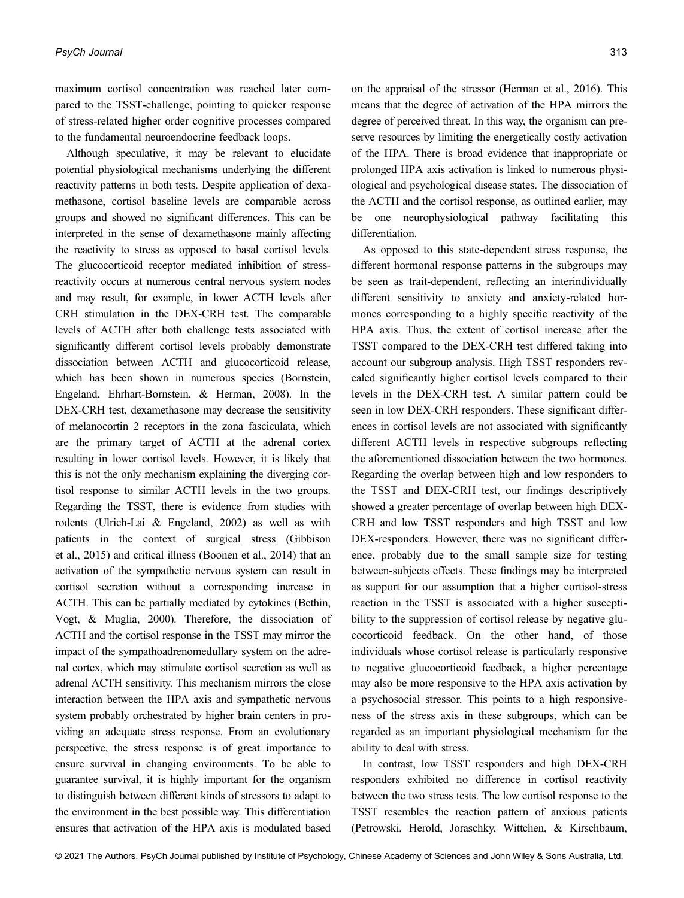maximum cortisol concentration was reached later compared to the TSST-challenge, pointing to quicker response of stress-related higher order cognitive processes compared to the fundamental neuroendocrine feedback loops.

Although speculative, it may be relevant to elucidate potential physiological mechanisms underlying the different reactivity patterns in both tests. Despite application of dexamethasone, cortisol baseline levels are comparable across groups and showed no significant differences. This can be interpreted in the sense of dexamethasone mainly affecting the reactivity to stress as opposed to basal cortisol levels. The glucocorticoid receptor mediated inhibition of stressreactivity occurs at numerous central nervous system nodes and may result, for example, in lower ACTH levels after CRH stimulation in the DEX-CRH test. The comparable levels of ACTH after both challenge tests associated with significantly different cortisol levels probably demonstrate dissociation between ACTH and glucocorticoid release, which has been shown in numerous species (Bornstein, Engeland, Ehrhart-Bornstein, & Herman, 2008). In the DEX-CRH test, dexamethasone may decrease the sensitivity of melanocortin 2 receptors in the zona fasciculata, which are the primary target of ACTH at the adrenal cortex resulting in lower cortisol levels. However, it is likely that this is not the only mechanism explaining the diverging cortisol response to similar ACTH levels in the two groups. Regarding the TSST, there is evidence from studies with rodents (Ulrich-Lai & Engeland, 2002) as well as with patients in the context of surgical stress (Gibbison et al., 2015) and critical illness (Boonen et al., 2014) that an activation of the sympathetic nervous system can result in cortisol secretion without a corresponding increase in ACTH. This can be partially mediated by cytokines (Bethin, Vogt, & Muglia, 2000). Therefore, the dissociation of ACTH and the cortisol response in the TSST may mirror the impact of the sympathoadrenomedullary system on the adrenal cortex, which may stimulate cortisol secretion as well as adrenal ACTH sensitivity. This mechanism mirrors the close interaction between the HPA axis and sympathetic nervous system probably orchestrated by higher brain centers in providing an adequate stress response. From an evolutionary perspective, the stress response is of great importance to ensure survival in changing environments. To be able to guarantee survival, it is highly important for the organism to distinguish between different kinds of stressors to adapt to the environment in the best possible way. This differentiation ensures that activation of the HPA axis is modulated based

on the appraisal of the stressor (Herman et al., 2016). This means that the degree of activation of the HPA mirrors the degree of perceived threat. In this way, the organism can preserve resources by limiting the energetically costly activation of the HPA. There is broad evidence that inappropriate or prolonged HPA axis activation is linked to numerous physiological and psychological disease states. The dissociation of the ACTH and the cortisol response, as outlined earlier, may be one neurophysiological pathway facilitating this differentiation.

As opposed to this state-dependent stress response, the different hormonal response patterns in the subgroups may be seen as trait-dependent, reflecting an interindividually different sensitivity to anxiety and anxiety-related hormones corresponding to a highly specific reactivity of the HPA axis. Thus, the extent of cortisol increase after the TSST compared to the DEX-CRH test differed taking into account our subgroup analysis. High TSST responders revealed significantly higher cortisol levels compared to their levels in the DEX-CRH test. A similar pattern could be seen in low DEX-CRH responders. These significant differences in cortisol levels are not associated with significantly different ACTH levels in respective subgroups reflecting the aforementioned dissociation between the two hormones. Regarding the overlap between high and low responders to the TSST and DEX-CRH test, our findings descriptively showed a greater percentage of overlap between high DEX-CRH and low TSST responders and high TSST and low DEX-responders. However, there was no significant difference, probably due to the small sample size for testing between-subjects effects. These findings may be interpreted as support for our assumption that a higher cortisol-stress reaction in the TSST is associated with a higher susceptibility to the suppression of cortisol release by negative glucocorticoid feedback. On the other hand, of those individuals whose cortisol release is particularly responsive to negative glucocorticoid feedback, a higher percentage may also be more responsive to the HPA axis activation by a psychosocial stressor. This points to a high responsiveness of the stress axis in these subgroups, which can be regarded as an important physiological mechanism for the ability to deal with stress.

In contrast, low TSST responders and high DEX-CRH responders exhibited no difference in cortisol reactivity between the two stress tests. The low cortisol response to the TSST resembles the reaction pattern of anxious patients (Petrowski, Herold, Joraschky, Wittchen, & Kirschbaum,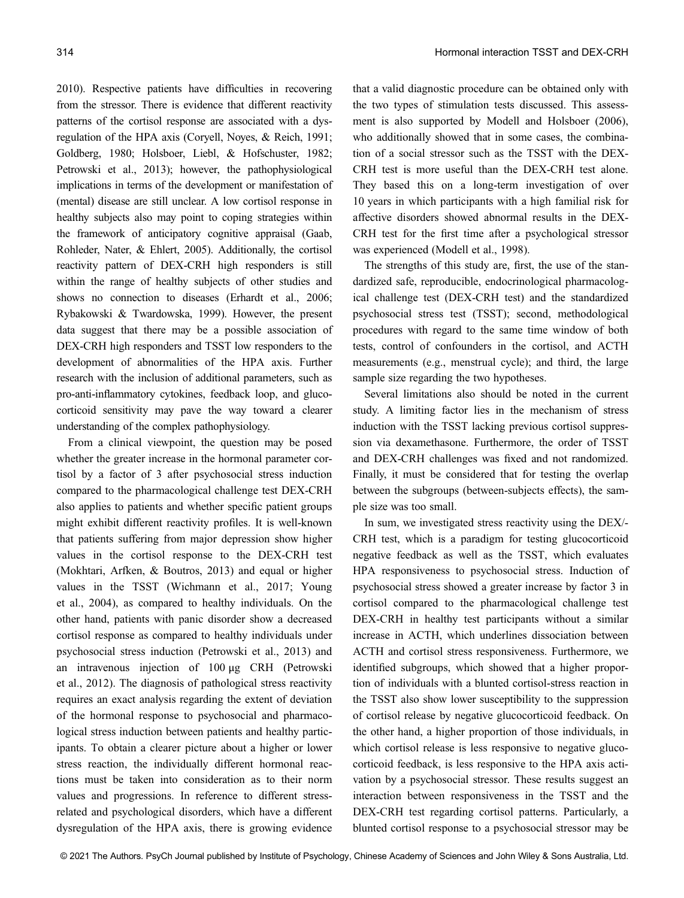2010). Respective patients have difficulties in recovering from the stressor. There is evidence that different reactivity patterns of the cortisol response are associated with a dysregulation of the HPA axis (Coryell, Noyes, & Reich, 1991; Goldberg, 1980; Holsboer, Liebl, & Hofschuster, 1982; Petrowski et al., 2013); however, the pathophysiological implications in terms of the development or manifestation of (mental) disease are still unclear. A low cortisol response in healthy subjects also may point to coping strategies within the framework of anticipatory cognitive appraisal (Gaab, Rohleder, Nater, & Ehlert, 2005). Additionally, the cortisol reactivity pattern of DEX-CRH high responders is still within the range of healthy subjects of other studies and shows no connection to diseases (Erhardt et al., 2006; Rybakowski & Twardowska, 1999). However, the present data suggest that there may be a possible association of DEX-CRH high responders and TSST low responders to the development of abnormalities of the HPA axis. Further research with the inclusion of additional parameters, such as pro-anti-inflammatory cytokines, feedback loop, and glucocorticoid sensitivity may pave the way toward a clearer understanding of the complex pathophysiology.

From a clinical viewpoint, the question may be posed whether the greater increase in the hormonal parameter cortisol by a factor of 3 after psychosocial stress induction compared to the pharmacological challenge test DEX-CRH also applies to patients and whether specific patient groups might exhibit different reactivity profiles. It is well-known that patients suffering from major depression show higher values in the cortisol response to the DEX-CRH test (Mokhtari, Arfken, & Boutros, 2013) and equal or higher values in the TSST (Wichmann et al., 2017; Young et al., 2004), as compared to healthy individuals. On the other hand, patients with panic disorder show a decreased cortisol response as compared to healthy individuals under psychosocial stress induction (Petrowski et al., 2013) and an intravenous injection of 100 μg CRH (Petrowski et al., 2012). The diagnosis of pathological stress reactivity requires an exact analysis regarding the extent of deviation of the hormonal response to psychosocial and pharmacological stress induction between patients and healthy participants. To obtain a clearer picture about a higher or lower stress reaction, the individually different hormonal reactions must be taken into consideration as to their norm values and progressions. In reference to different stressrelated and psychological disorders, which have a different dysregulation of the HPA axis, there is growing evidence

that a valid diagnostic procedure can be obtained only with the two types of stimulation tests discussed. This assessment is also supported by Modell and Holsboer (2006), who additionally showed that in some cases, the combination of a social stressor such as the TSST with the DEX-CRH test is more useful than the DEX-CRH test alone. They based this on a long-term investigation of over 10 years in which participants with a high familial risk for affective disorders showed abnormal results in the DEX-CRH test for the first time after a psychological stressor was experienced (Modell et al., 1998).

The strengths of this study are, first, the use of the standardized safe, reproducible, endocrinological pharmacological challenge test (DEX-CRH test) and the standardized psychosocial stress test (TSST); second, methodological procedures with regard to the same time window of both tests, control of confounders in the cortisol, and ACTH measurements (e.g., menstrual cycle); and third, the large sample size regarding the two hypotheses.

Several limitations also should be noted in the current study. A limiting factor lies in the mechanism of stress induction with the TSST lacking previous cortisol suppression via dexamethasone. Furthermore, the order of TSST and DEX-CRH challenges was fixed and not randomized. Finally, it must be considered that for testing the overlap between the subgroups (between-subjects effects), the sample size was too small.

In sum, we investigated stress reactivity using the DEX/- CRH test, which is a paradigm for testing glucocorticoid negative feedback as well as the TSST, which evaluates HPA responsiveness to psychosocial stress. Induction of psychosocial stress showed a greater increase by factor 3 in cortisol compared to the pharmacological challenge test DEX-CRH in healthy test participants without a similar increase in ACTH, which underlines dissociation between ACTH and cortisol stress responsiveness. Furthermore, we identified subgroups, which showed that a higher proportion of individuals with a blunted cortisol-stress reaction in the TSST also show lower susceptibility to the suppression of cortisol release by negative glucocorticoid feedback. On the other hand, a higher proportion of those individuals, in which cortisol release is less responsive to negative glucocorticoid feedback, is less responsive to the HPA axis activation by a psychosocial stressor. These results suggest an interaction between responsiveness in the TSST and the DEX-CRH test regarding cortisol patterns. Particularly, a blunted cortisol response to a psychosocial stressor may be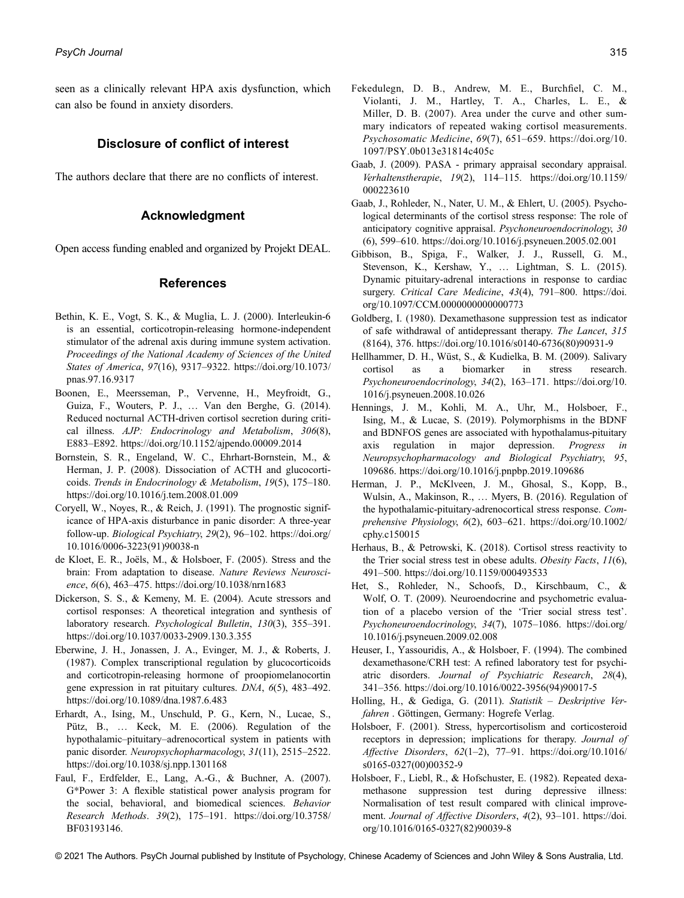seen as a clinically relevant HPA axis dysfunction, which can also be found in anxiety disorders.

# Disclosure of conflict of interest

The authors declare that there are no conflicts of interest.

# Acknowledgment

Open access funding enabled and organized by Projekt DEAL.

# References

- Bethin, K. E., Vogt, S. K., & Muglia, L. J. (2000). Interleukin-6 is an essential, corticotropin-releasing hormone-independent stimulator of the adrenal axis during immune system activation. Proceedings of the National Academy of Sciences of the United States of America, 97(16), 9317–9322. [https://doi.org/10.1073/](https://doi.org/10.1073/pnas.97.16.9317) [pnas.97.16.9317](https://doi.org/10.1073/pnas.97.16.9317)
- Boonen, E., Meersseman, P., Vervenne, H., Meyfroidt, G., Guiza, F., Wouters, P. J., … Van den Berghe, G. (2014). Reduced nocturnal ACTH-driven cortisol secretion during critical illness. AJP: Endocrinology and Metabolism, 306(8), E883–E892.<https://doi.org/10.1152/ajpendo.00009.2014>
- Bornstein, S. R., Engeland, W. C., Ehrhart-Bornstein, M., & Herman, J. P. (2008). Dissociation of ACTH and glucocorticoids. Trends in Endocrinology & Metabolism, 19(5), 175–180. <https://doi.org/10.1016/j.tem.2008.01.009>
- Coryell, W., Noyes, R., & Reich, J. (1991). The prognostic significance of HPA-axis disturbance in panic disorder: A three-year follow-up. Biological Psychiatry, 29(2), 96–102. [https://doi.org/](https://doi.org/10.1016/0006-3223(91)90038-n) [10.1016/0006-3223\(91\)90038-n](https://doi.org/10.1016/0006-3223(91)90038-n)
- de Kloet, E. R., Joëls, M., & Holsboer, F. (2005). Stress and the brain: From adaptation to disease. Nature Reviews Neuroscience, 6(6), 463–475.<https://doi.org/10.1038/nrn1683>
- Dickerson, S. S., & Kemeny, M. E. (2004). Acute stressors and cortisol responses: A theoretical integration and synthesis of laboratory research. Psychological Bulletin, 130(3), 355–391. <https://doi.org/10.1037/0033-2909.130.3.355>
- Eberwine, J. H., Jonassen, J. A., Evinger, M. J., & Roberts, J. (1987). Complex transcriptional regulation by glucocorticoids and corticotropin-releasing hormone of proopiomelanocortin gene expression in rat pituitary cultures. DNA, 6(5), 483–492. <https://doi.org/10.1089/dna.1987.6.483>
- Erhardt, A., Ising, M., Unschuld, P. G., Kern, N., Lucae, S., Pütz, B., … Keck, M. E. (2006). Regulation of the hypothalamic–pituitary–adrenocortical system in patients with panic disorder. Neuropsychopharmacology, 31(11), 2515–2522. <https://doi.org/10.1038/sj.npp.1301168>
- Faul, F., Erdfelder, E., Lang, A.-G., & Buchner, A. (2007). G\*Power 3: A flexible statistical power analysis program for the social, behavioral, and biomedical sciences. Behavior Research Methods. 39(2), 175–191. [https://doi.org/10.3758/](https://doi.org/10.3758/BF03193146) [BF03193146.](https://doi.org/10.3758/BF03193146)
- Fekedulegn, D. B., Andrew, M. E., Burchfiel, C. M., Violanti, J. M., Hartley, T. A., Charles, L. E., & Miller, D. B. (2007). Area under the curve and other summary indicators of repeated waking cortisol measurements. Psychosomatic Medicine, 69(7), 651–659. [https://doi.org/10.](https://doi.org/10.1097/PSY.0b013e31814c405c) [1097/PSY.0b013e31814c405c](https://doi.org/10.1097/PSY.0b013e31814c405c)
- Gaab, J. (2009). PASA primary appraisal secondary appraisal. Verhaltenstherapie, 19(2), 114–115. [https://doi.org/10.1159/](https://doi.org/10.1159/000223610) [000223610](https://doi.org/10.1159/000223610)
- Gaab, J., Rohleder, N., Nater, U. M., & Ehlert, U. (2005). Psychological determinants of the cortisol stress response: The role of anticipatory cognitive appraisal. Psychoneuroendocrinology, 30 (6), 599–610.<https://doi.org/10.1016/j.psyneuen.2005.02.001>
- Gibbison, B., Spiga, F., Walker, J. J., Russell, G. M., Stevenson, K., Kershaw, Y., … Lightman, S. L. (2015). Dynamic pituitary-adrenal interactions in response to cardiac surgery. Critical Care Medicine, 43(4), 791-800. [https://doi.](https://doi.org/10.1097/CCM.0000000000000773) [org/10.1097/CCM.0000000000000773](https://doi.org/10.1097/CCM.0000000000000773)
- Goldberg, I. (1980). Dexamethasone suppression test as indicator of safe withdrawal of antidepressant therapy. The Lancet, 315 (8164), 376. [https://doi.org/10.1016/s0140-6736\(80\)90931-9](https://doi.org/10.1016/s0140-6736(80)90931-9)
- Hellhammer, D. H., Wüst, S., & Kudielka, B. M. (2009). Salivary cortisol as a biomarker in stress research. Psychoneuroendocrinology, 34(2), 163–171. [https://doi.org/10.](https://doi.org/10.1016/j.psyneuen.2008.10.026) [1016/j.psyneuen.2008.10.026](https://doi.org/10.1016/j.psyneuen.2008.10.026)
- Hennings, J. M., Kohli, M. A., Uhr, M., Holsboer, F., Ising, M., & Lucae, S. (2019). Polymorphisms in the BDNF and BDNFOS genes are associated with hypothalamus-pituitary axis regulation in major depression. Progress in Neuropsychopharmacology and Biological Psychiatry, 95, 109686.<https://doi.org/10.1016/j.pnpbp.2019.109686>
- Herman, J. P., McKlveen, J. M., Ghosal, S., Kopp, B., Wulsin, A., Makinson, R., … Myers, B. (2016). Regulation of the hypothalamic-pituitary-adrenocortical stress response. Comprehensive Physiology, 6(2), 603–621. [https://doi.org/10.1002/](https://doi.org/10.1002/cphy.c150015) [cphy.c150015](https://doi.org/10.1002/cphy.c150015)
- Herhaus, B., & Petrowski, K. (2018). Cortisol stress reactivity to the Trier social stress test in obese adults. Obesity Facts, 11(6), 491–500.<https://doi.org/10.1159/000493533>
- Het, S., Rohleder, N., Schoofs, D., Kirschbaum, C., & Wolf, O. T. (2009). Neuroendocrine and psychometric evaluation of a placebo version of the 'Trier social stress test'. Psychoneuroendocrinology, 34(7), 1075–1086. [https://doi.org/](https://doi.org/10.1016/j.psyneuen.2009.02.008) [10.1016/j.psyneuen.2009.02.008](https://doi.org/10.1016/j.psyneuen.2009.02.008)
- Heuser, I., Yassouridis, A., & Holsboer, F. (1994). The combined dexamethasone/CRH test: A refined laboratory test for psychiatric disorders. Journal of Psychiatric Research, 28(4), 341–356. [https://doi.org/10.1016/0022-3956\(94\)90017-5](https://doi.org/10.1016/0022-3956(94)90017-5)
- Holling, H., & Gediga, G. (2011). Statistik Deskriptive Verfahren . Göttingen, Germany: Hogrefe Verlag.
- Holsboer, F. (2001). Stress, hypercortisolism and corticosteroid receptors in depression; implications for therapy. Journal of Affective Disorders, 62(1–2), 77–91. [https://doi.org/10.1016/](https://doi.org/10.1016/s0165-0327(00)00352-9) [s0165-0327\(00\)00352-9](https://doi.org/10.1016/s0165-0327(00)00352-9)
- Holsboer, F., Liebl, R., & Hofschuster, E. (1982). Repeated dexamethasone suppression test during depressive illness: Normalisation of test result compared with clinical improvement. Journal of Affective Disorders, 4(2), 93–101. [https://doi.](https://doi.org/10.1016/0165-0327(82)90039-8) [org/10.1016/0165-0327\(82\)90039-8](https://doi.org/10.1016/0165-0327(82)90039-8)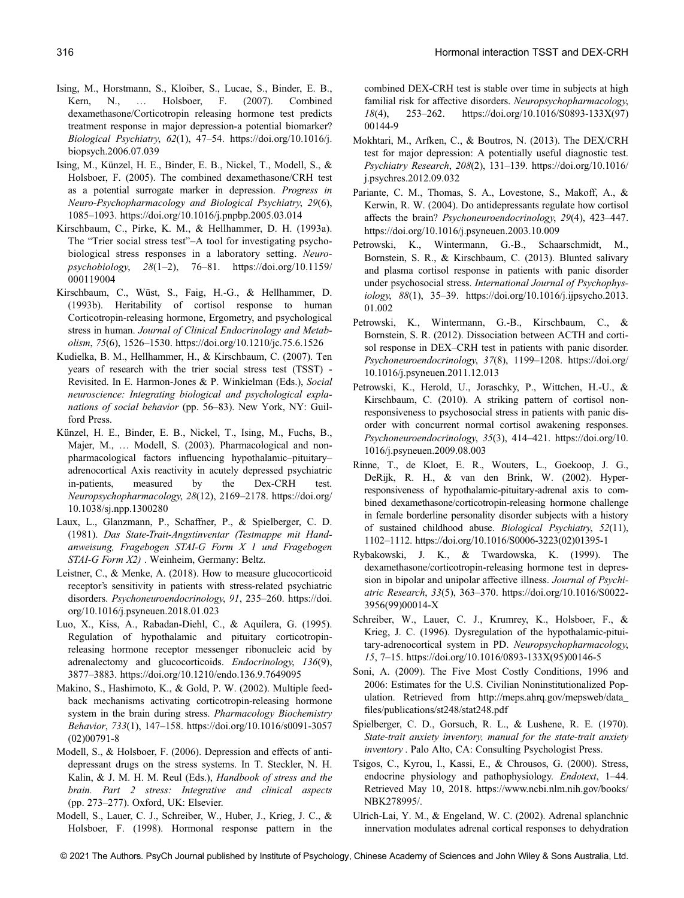- Ising, M., Horstmann, S., Kloiber, S., Lucae, S., Binder, E. B., Kern, N., … Holsboer, F. (2007). Combined dexamethasone/Corticotropin releasing hormone test predicts treatment response in major depression-a potential biomarker? Biological Psychiatry, 62(1), 47–54. [https://doi.org/10.1016/j.](https://doi.org/10.1016/j.biopsych.2006.07.039) [biopsych.2006.07.039](https://doi.org/10.1016/j.biopsych.2006.07.039)
- Ising, M., Künzel, H. E., Binder, E. B., Nickel, T., Modell, S., & Holsboer, F. (2005). The combined dexamethasone/CRH test as a potential surrogate marker in depression. Progress in Neuro-Psychopharmacology and Biological Psychiatry, 29(6), 1085–1093.<https://doi.org/10.1016/j.pnpbp.2005.03.014>
- Kirschbaum, C., Pirke, K. M., & Hellhammer, D. H. (1993a). The "Trier social stress test"–A tool for investigating psychobiological stress responses in a laboratory setting. Neuropsychobiology, 28(1–2), 76–81. [https://doi.org/10.1159/](https://doi.org/10.1159/000119004) [000119004](https://doi.org/10.1159/000119004)
- Kirschbaum, C., Wüst, S., Faig, H.-G., & Hellhammer, D. (1993b). Heritability of cortisol response to human Corticotropin-releasing hormone, Ergometry, and psychological stress in human. Journal of Clinical Endocrinology and Metabolism, 75(6), 1526–1530.<https://doi.org/10.1210/jc.75.6.1526>
- Kudielka, B. M., Hellhammer, H., & Kirschbaum, C. (2007). Ten years of research with the trier social stress test (TSST) - Revisited. In E. Harmon-Jones & P. Winkielman (Eds.), Social neuroscience: Integrating biological and psychological explanations of social behavior (pp. 56–83). New York, NY: Guilford Press.
- Künzel, H. E., Binder, E. B., Nickel, T., Ising, M., Fuchs, B., Majer, M., ... Modell, S. (2003). Pharmacological and nonpharmacological factors influencing hypothalamic–pituitary– adrenocortical Axis reactivity in acutely depressed psychiatric in-patients, measured by the Dex-CRH test. Neuropsychopharmacology, 28(12), 2169–2178. [https://doi.org/](https://doi.org/10.1038/sj.npp.1300280) [10.1038/sj.npp.1300280](https://doi.org/10.1038/sj.npp.1300280)
- Laux, L., Glanzmann, P., Schaffner, P., & Spielberger, C. D. (1981). Das State-Trait-Angstinventar (Testmappe mit Handanweisung, Fragebogen STAI-G Form X 1 und Fragebogen STAI-G Form X2) . Weinheim, Germany: Beltz.
- Leistner, C., & Menke, A. (2018). How to measure glucocorticoid receptor's sensitivity in patients with stress-related psychiatric disorders. Psychoneuroendocrinology, 91, 235–260. [https://doi.](https://doi.org/10.1016/j.psyneuen.2018.01.023) [org/10.1016/j.psyneuen.2018.01.023](https://doi.org/10.1016/j.psyneuen.2018.01.023)
- Luo, X., Kiss, A., Rabadan-Diehl, C., & Aquilera, G. (1995). Regulation of hypothalamic and pituitary corticotropinreleasing hormone receptor messenger ribonucleic acid by adrenalectomy and glucocorticoids. Endocrinology, 136(9), 3877–3883.<https://doi.org/10.1210/endo.136.9.7649095>
- Makino, S., Hashimoto, K., & Gold, P. W. (2002). Multiple feedback mechanisms activating corticotropin-releasing hormone system in the brain during stress. Pharmacology Biochemistry Behavior, 733(1), 147–158. [https://doi.org/10.1016/s0091-3057](https://doi.org/10.1016/s0091-3057(02)00791-8) [\(02\)00791-8](https://doi.org/10.1016/s0091-3057(02)00791-8)
- Modell, S., & Holsboer, F. (2006). Depression and effects of antidepressant drugs on the stress systems. In T. Steckler, N. H. Kalin, & J. M. H. M. Reul (Eds.), Handbook of stress and the brain. Part 2 stress: Integrative and clinical aspects (pp. 273–277). Oxford, UK: Elsevier.
- Modell, S., Lauer, C. J., Schreiber, W., Huber, J., Krieg, J. C., & Holsboer, F. (1998). Hormonal response pattern in the

combined DEX-CRH test is stable over time in subjects at high familial risk for affective disorders. Neuropsychopharmacology, 18(4), 253–262. [https://doi.org/10.1016/S0893-133X\(97\)](https://doi.org/10.1016/S0893-133X(97)00144-9) [00144-9](https://doi.org/10.1016/S0893-133X(97)00144-9)

- Mokhtari, M., Arfken, C., & Boutros, N. (2013). The DEX/CRH test for major depression: A potentially useful diagnostic test. Psychiatry Research, 208(2), 131–139. [https://doi.org/10.1016/](https://doi.org/10.1016/j.psychres.2012.09.032) [j.psychres.2012.09.032](https://doi.org/10.1016/j.psychres.2012.09.032)
- Pariante, C. M., Thomas, S. A., Lovestone, S., Makoff, A., & Kerwin, R. W. (2004). Do antidepressants regulate how cortisol affects the brain? Psychoneuroendocrinology, 29(4), 423–447. <https://doi.org/10.1016/j.psyneuen.2003.10.009>
- Petrowski, K., Wintermann, G.-B., Schaarschmidt, M., Bornstein, S. R., & Kirschbaum, C. (2013). Blunted salivary and plasma cortisol response in patients with panic disorder under psychosocial stress. International Journal of Psychophysiology, 88(1), 35–39. [https://doi.org/10.1016/j.ijpsycho.2013.](https://doi.org/10.1016/j.ijpsycho.2013.01.002) [01.002](https://doi.org/10.1016/j.ijpsycho.2013.01.002)
- Petrowski, K., Wintermann, G.-B., Kirschbaum, C., & Bornstein, S. R. (2012). Dissociation between ACTH and cortisol response in DEX–CRH test in patients with panic disorder. Psychoneuroendocrinology, 37(8), 1199–1208. [https://doi.org/](https://doi.org/10.1016/j.psyneuen.2011.12.013) [10.1016/j.psyneuen.2011.12.013](https://doi.org/10.1016/j.psyneuen.2011.12.013)
- Petrowski, K., Herold, U., Joraschky, P., Wittchen, H.-U., & Kirschbaum, C. (2010). A striking pattern of cortisol nonresponsiveness to psychosocial stress in patients with panic disorder with concurrent normal cortisol awakening responses. Psychoneuroendocrinology, 35(3), 414–421. [https://doi.org/10.](https://doi.org/10.1016/j.psyneuen.2009.08.003) [1016/j.psyneuen.2009.08.003](https://doi.org/10.1016/j.psyneuen.2009.08.003)
- Rinne, T., de Kloet, E. R., Wouters, L., Goekoop, J. G., DeRijk, R. H., & van den Brink, W. (2002). Hyperresponsiveness of hypothalamic-pituitary-adrenal axis to combined dexamethasone/corticotropin-releasing hormone challenge in female borderline personality disorder subjects with a history of sustained childhood abuse. Biological Psychiatry, 52(11), 1102–1112. [https://doi.org/10.1016/S0006-3223\(02\)01395-1](https://doi.org/10.1016/S0006-3223(02)01395-1)
- Rybakowski, J. K., & Twardowska, K. (1999). The dexamethasone/corticotropin-releasing hormone test in depression in bipolar and unipolar affective illness. Journal of Psychiatric Research, 33(5), 363–370. [https://doi.org/10.1016/S0022-](https://doi.org/10.1016/S0022-3956(99)00014-X) [3956\(99\)00014-X](https://doi.org/10.1016/S0022-3956(99)00014-X)
- Schreiber, W., Lauer, C. J., Krumrey, K., Holsboer, F., & Krieg, J. C. (1996). Dysregulation of the hypothalamic-pituitary-adrenocortical system in PD. Neuropsychopharmacology, 15, 7–15. [https://doi.org/10.1016/0893-133X\(95\)00146-5](https://doi.org/10.1016/0893-133X(95)00146-5)
- Soni, A. (2009). The Five Most Costly Conditions, 1996 and 2006: Estimates for the U.S. Civilian Noninstitutionalized Population. Retrieved from [http://meps.ahrq.gov/mepsweb/data\\_](http://meps.ahrq.gov/mepsweb/data_files/publications/st248/stat248.pdf) fi[les/publications/st248/stat248.pdf](http://meps.ahrq.gov/mepsweb/data_files/publications/st248/stat248.pdf)
- Spielberger, C. D., Gorsuch, R. L., & Lushene, R. E. (1970). State-trait anxiety inventory, manual for the state-trait anxiety inventory . Palo Alto, CA: Consulting Psychologist Press.
- Tsigos, C., Kyrou, I., Kassi, E., & Chrousos, G. (2000). Stress, endocrine physiology and pathophysiology. Endotext, 1–44. Retrieved May 10, 2018. [https://www.ncbi.nlm.nih.gov/books/](https://www.ncbi.nlm.nih.gov/books/NBK278995/) [NBK278995/.](https://www.ncbi.nlm.nih.gov/books/NBK278995/)
- Ulrich-Lai, Y. M., & Engeland, W. C. (2002). Adrenal splanchnic innervation modulates adrenal cortical responses to dehydration